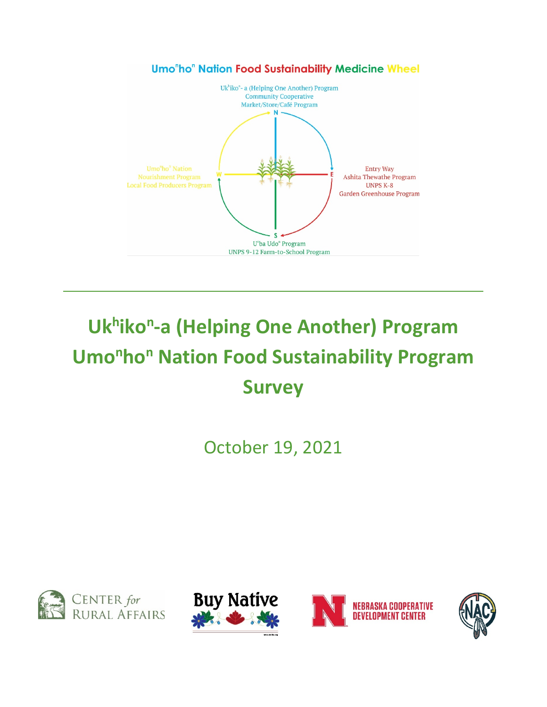

# **Ukhikon-a (Helping One Another) Program Umo<sup>n</sup>ho<sup>n</sup> Nation Food Sustainability Program Survey**

October 19, 2021







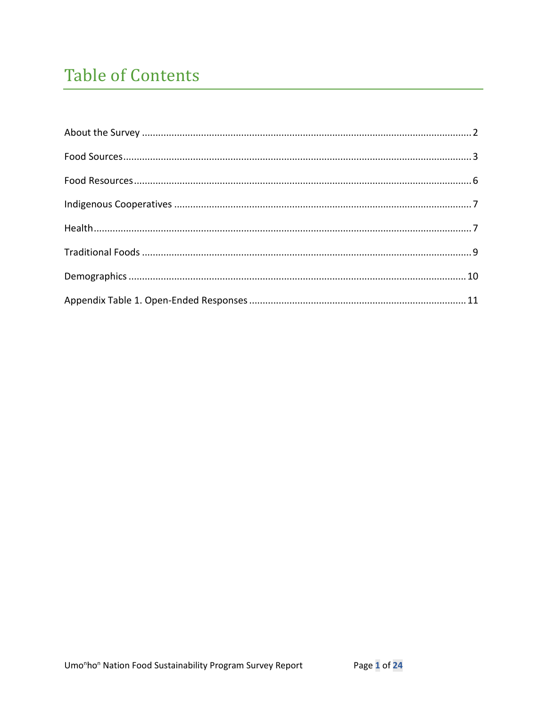# **Table of Contents**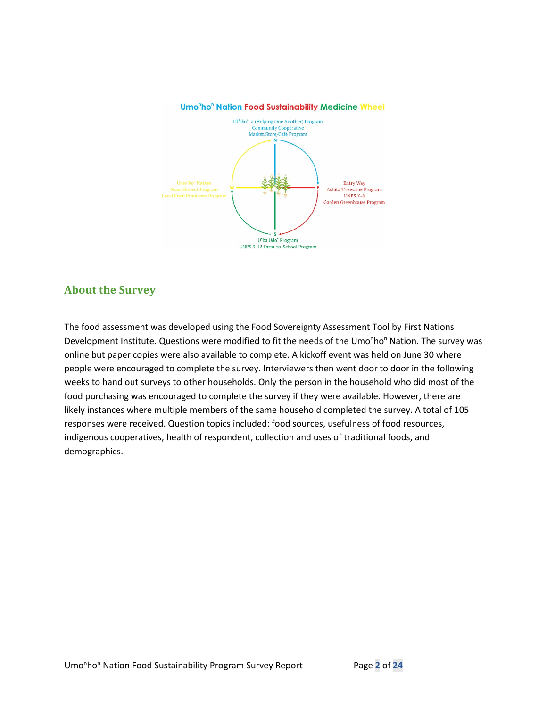



### **About the Survey**

The food assessment was developed using the Food Sovereignty Assessment Tool by First Nations Development Institute. Questions were modified to fit the needs of the Umo<sup>n</sup>ho<sup>n</sup> Nation. The survey was online but paper copies were also available to complete. A kickoff event was held on June 30 where people were encouraged to complete the survey. Interviewers then went door to door in the following weeks to hand out surveys to other households. Only the person in the household who did most of the food purchasing was encouraged to complete the survey if they were available. However, there are likely instances where multiple members of the same household completed the survey. A total of 105 responses were received. Question topics included: food sources, usefulness of food resources, indigenous cooperatives, health of respondent, collection and uses of traditional foods, and demographics.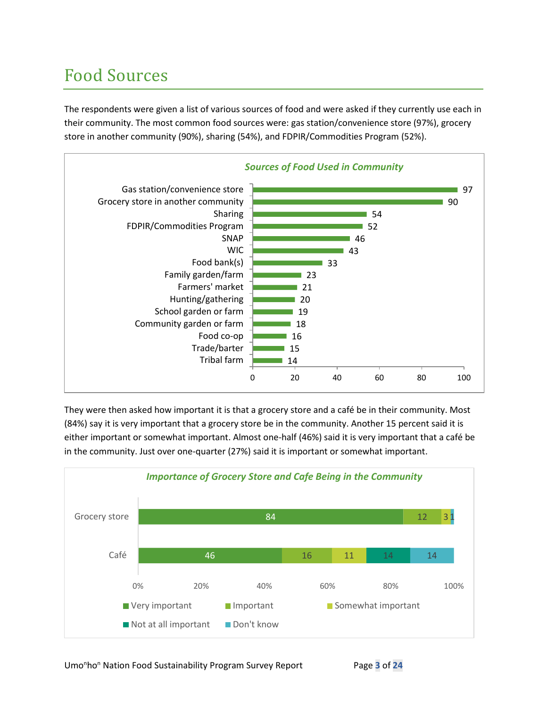# Food Sources

The respondents were given a list of various sources of food and were asked if they currently use each in their community. The most common food sources were: gas station/convenience store (97%), grocery store in another community (90%), sharing (54%), and FDPIR/Commodities Program (52%).



They were then asked how important it is that a grocery store and a café be in their community. Most (84%) say it is very important that a grocery store be in the community. Another 15 percent said it is either important or somewhat important. Almost one-half (46%) said it is very important that a café be in the community. Just over one-quarter (27%) said it is important or somewhat important.

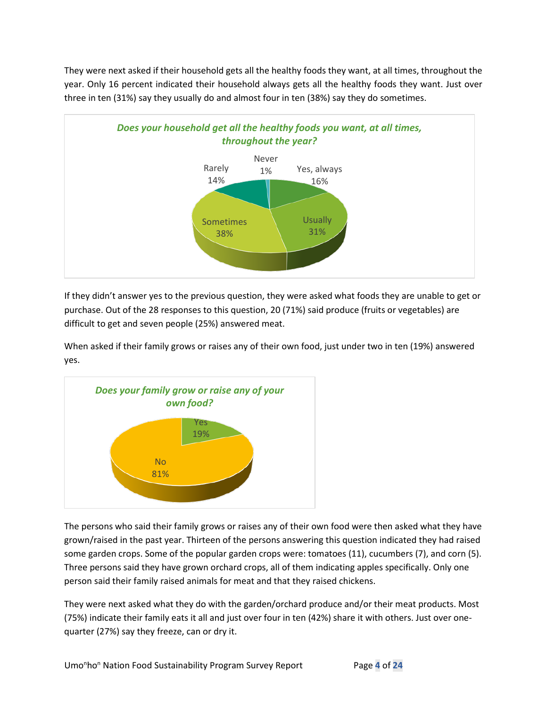They were next asked if their household gets all the healthy foods they want, at all times, throughout the year. Only 16 percent indicated their household always gets all the healthy foods they want. Just over three in ten (31%) say they usually do and almost four in ten (38%) say they do sometimes.



If they didn't answer yes to the previous question, they were asked what foods they are unable to get or purchase. Out of the 28 responses to this question, 20 (71%) said produce (fruits or vegetables) are difficult to get and seven people (25%) answered meat.

When asked if their family grows or raises any of their own food, just under two in ten (19%) answered yes.



The persons who said their family grows or raises any of their own food were then asked what they have grown/raised in the past year. Thirteen of the persons answering this question indicated they had raised some garden crops. Some of the popular garden crops were: tomatoes (11), cucumbers (7), and corn (5). Three persons said they have grown orchard crops, all of them indicating apples specifically. Only one person said their family raised animals for meat and that they raised chickens.

They were next asked what they do with the garden/orchard produce and/or their meat products. Most (75%) indicate their family eats it all and just over four in ten (42%) share it with others. Just over onequarter (27%) say they freeze, can or dry it.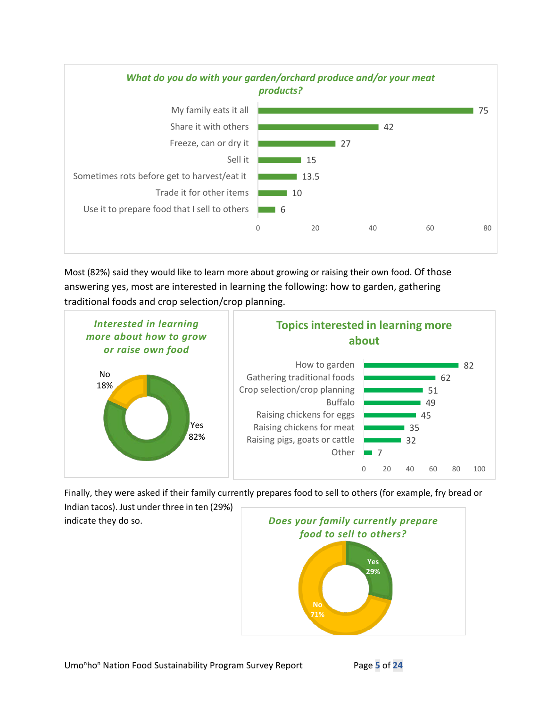

Most (82%) said they would like to learn more about growing or raising their own food. Of those answering yes, most are interested in learning the following: how to garden, gathering traditional foods and crop selection/crop planning.



Finally, they were asked if their family currently prepares food to sell to others (for example, fry bread or

Indian tacos). Just under three in ten (29%) indicate they do so.

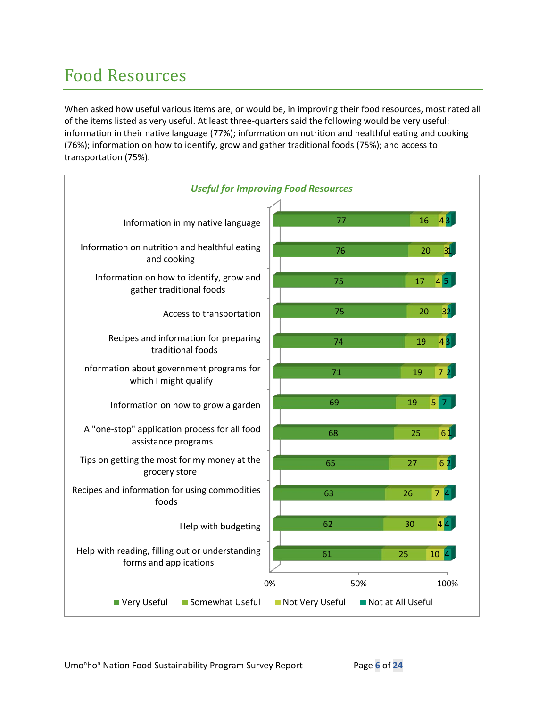# Food Resources

When asked how useful various items are, or would be, in improving their food resources, most rated all of the items listed as very useful. At least three-quarters said the following would be very useful: information in their native language (77%); information on nutrition and healthful eating and cooking (76%); information on how to identify, grow and gather traditional foods (75%); and access to transportation (75%).

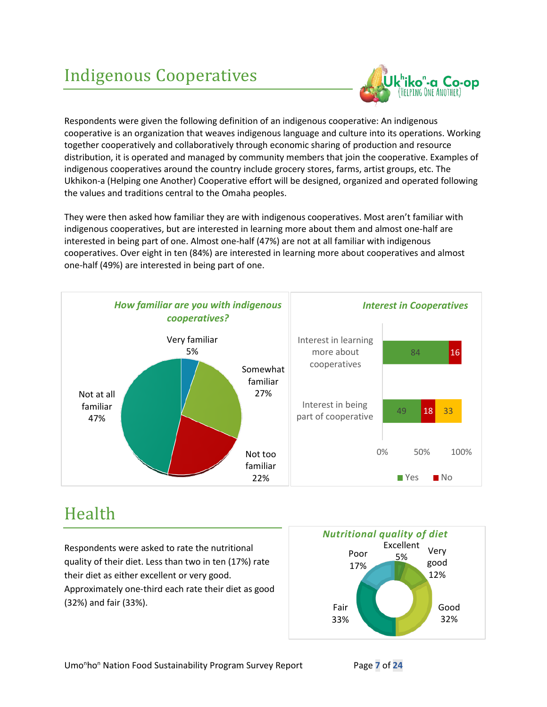# Indigenous Cooperatives



Respondents were given the following definition of an indigenous cooperative: An indigenous cooperative is an organization that weaves indigenous language and culture into its operations. Working together cooperatively and collaboratively through economic sharing of production and resource distribution, it is operated and managed by community members that join the cooperative. Examples of indigenous cooperatives around the country include grocery stores, farms, artist groups, etc. The Ukhikon-a (Helping one Another) Cooperative effort will be designed, organized and operated following the values and traditions central to the Omaha peoples.

They were then asked how familiar they are with indigenous cooperatives. Most aren't familiar with indigenous cooperatives, but are interested in learning more about them and almost one-half are interested in being part of one. Almost one-half (47%) are not at all familiar with indigenous cooperatives. Over eight in ten (84%) are interested in learning more about cooperatives and almost one-half (49%) are interested in being part of one.



### Health

Respondents were asked to rate the nutritional quality of their diet. Less than two in ten (17%) rate their diet as either excellent or very good. Approximately one-third each rate their diet as good (32%) and fair (33%).

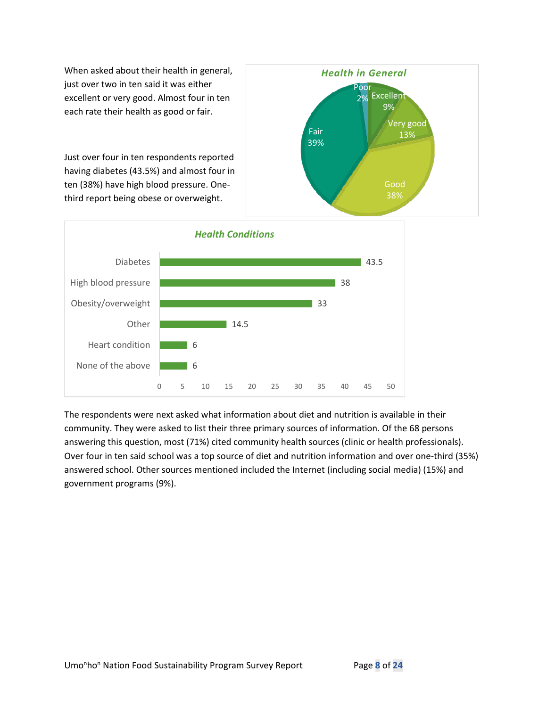When asked about their health in general, just over two in ten said it was either excellent or very good. Almost four in ten each rate their health as good or fair.

Just over four in ten respondents reported having diabetes (43.5%) and almost four in ten (38%) have high blood pressure. Onethird report being obese or overweight.





The respondents were next asked what information about diet and nutrition is available in their community. They were asked to list their three primary sources of information. Of the 68 persons answering this question, most (71%) cited community health sources (clinic or health professionals). Over four in ten said school was a top source of diet and nutrition information and over one-third (35%) answered school. Other sources mentioned included the Internet (including social media) (15%) and government programs (9%).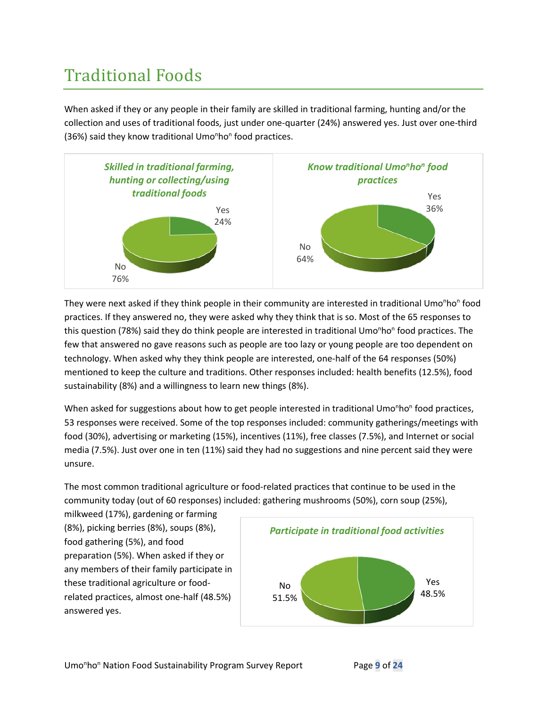# Traditional Foods

When asked if they or any people in their family are skilled in traditional farming, hunting and/or the collection and uses of traditional foods, just under one-quarter (24%) answered yes. Just over one-third (36%) said they know traditional Umo<sup>n</sup>ho<sup>n</sup> food practices.



They were next asked if they think people in their community are interested in traditional Umo<sup>n</sup>ho<sup>n</sup> food practices. If they answered no, they were asked why they think that is so. Most of the 65 responses to this question (78%) said they do think people are interested in traditional Umo<sup>n</sup>ho<sup>n</sup> food practices. The few that answered no gave reasons such as people are too lazy or young people are too dependent on technology. When asked why they think people are interested, one-half of the 64 responses (50%) mentioned to keep the culture and traditions. Other responses included: health benefits (12.5%), food sustainability (8%) and a willingness to learn new things (8%).

When asked for suggestions about how to get people interested in traditional Umo<sup>n</sup>ho<sup>n</sup> food practices, 53 responses were received. Some of the top responses included: community gatherings/meetings with food (30%), advertising or marketing (15%), incentives (11%), free classes (7.5%), and Internet or social media (7.5%). Just over one in ten (11%) said they had no suggestions and nine percent said they were unsure.

The most common traditional agriculture or food-related practices that continue to be used in the community today (out of 60 responses) included: gathering mushrooms (50%), corn soup (25%),

milkweed (17%), gardening or farming (8%), picking berries (8%), soups (8%), food gathering (5%), and food preparation (5%). When asked if they or any members of their family participate in these traditional agriculture or foodrelated practices, almost one-half (48.5%) answered yes.

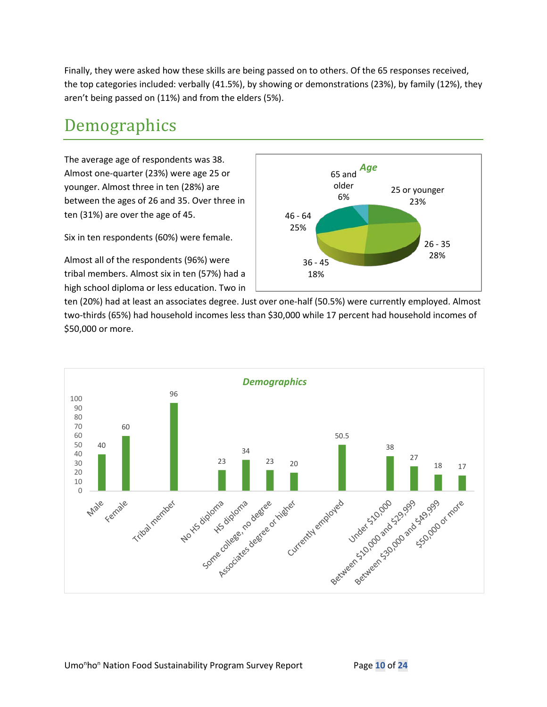Finally, they were asked how these skills are being passed on to others. Of the 65 responses received, the top categories included: verbally (41.5%), by showing or demonstrations (23%), by family (12%), they aren't being passed on (11%) and from the elders (5%).

### Demographics

The average age of respondents was 38. Almost one-quarter (23%) were age 25 or younger. Almost three in ten (28%) are between the ages of 26 and 35. Over three in ten (31%) are over the age of 45.

Six in ten respondents (60%) were female.

Almost all of the respondents (96%) were tribal members. Almost six in ten (57%) had a high school diploma or less education. Two in



ten (20%) had at least an associates degree. Just over one-half (50.5%) were currently employed. Almost two-thirds (65%) had household incomes less than \$30,000 while 17 percent had household incomes of \$50,000 or more.

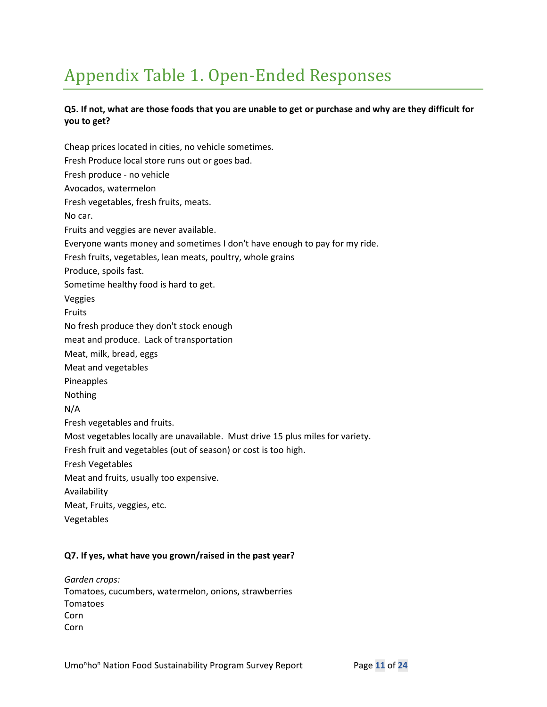# Appendix Table 1. Open-Ended Responses

### **Q5. If not, what are those foods that you are unable to get or purchase and why are they difficult for you to get?**

Cheap prices located in cities, no vehicle sometimes. Fresh Produce local store runs out or goes bad. Fresh produce - no vehicle Avocados, watermelon Fresh vegetables, fresh fruits, meats. No car. Fruits and veggies are never available. Everyone wants money and sometimes I don't have enough to pay for my ride. Fresh fruits, vegetables, lean meats, poultry, whole grains Produce, spoils fast. Sometime healthy food is hard to get. Veggies Fruits No fresh produce they don't stock enough meat and produce. Lack of transportation Meat, milk, bread, eggs Meat and vegetables Pineapples Nothing N/A Fresh vegetables and fruits. Most vegetables locally are unavailable. Must drive 15 plus miles for variety. Fresh fruit and vegetables (out of season) or cost is too high. Fresh Vegetables Meat and fruits, usually too expensive. Availability Meat, Fruits, veggies, etc. Vegetables

### **Q7. If yes, what have you grown/raised in the past year?**

*Garden crops:* Tomatoes, cucumbers, watermelon, onions, strawberries Tomatoes Corn Corn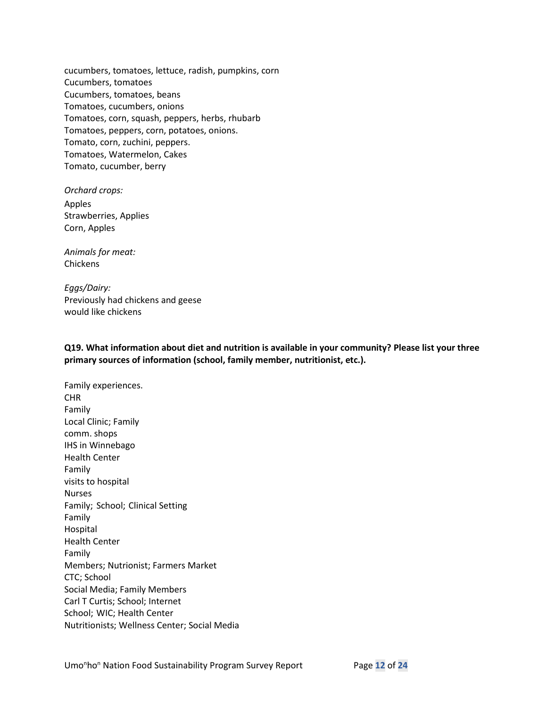cucumbers, tomatoes, lettuce, radish, pumpkins, corn Cucumbers, tomatoes Cucumbers, tomatoes, beans Tomatoes, cucumbers, onions Tomatoes, corn, squash, peppers, herbs, rhubarb Tomatoes, peppers, corn, potatoes, onions. Tomato, corn, zuchini, peppers. Tomatoes, Watermelon, Cakes Tomato, cucumber, berry

*Orchard crops:* Apples Strawberries, Applies Corn, Apples

*Animals for meat:* Chickens

*Eggs/Dairy:* Previously had chickens and geese would like chickens

**Q19. What information about diet and nutrition is available in your community? Please list your three primary sources of information (school, family member, nutritionist, etc.).**

Family experiences. CHR Family Local Clinic; Family comm. shops IHS in Winnebago Health Center Family visits to hospital Nurses Family; School; Clinical Setting Family Hospital Health Center Family Members; Nutrionist; Farmers Market CTC; School Social Media; Family Members Carl T Curtis; School; Internet School; WIC; Health Center Nutritionists; Wellness Center; Social Media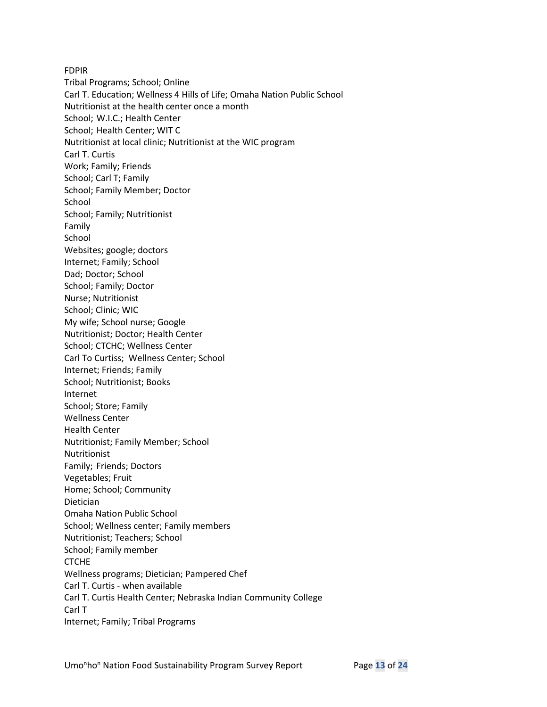FDPIR Tribal Programs; School; Online Carl T. Education; Wellness 4 Hills of Life; Omaha Nation Public School Nutritionist at the health center once a month School; W.I.C.; Health Center School; Health Center; WIT C Nutritionist at local clinic; Nutritionist at the WIC program Carl T. Curtis Work; Family; Friends School; Carl T; Family School; Family Member; Doctor School School; Family; Nutritionist Family School Websites; google; doctors Internet; Family; School Dad; Doctor; School School; Family; Doctor Nurse; Nutritionist School; Clinic; WIC My wife; School nurse; Google Nutritionist; Doctor; Health Center School; CTCHC; Wellness Center Carl To Curtiss; Wellness Center; School Internet; Friends; Family School; Nutritionist; Books Internet School; Store; Family Wellness Center Health Center Nutritionist; Family Member; School Nutritionist Family; Friends; Doctors Vegetables; Fruit Home; School; Community Dietician Omaha Nation Public School School; Wellness center; Family members Nutritionist; Teachers; School School; Family member **CTCHE** Wellness programs; Dietician; Pampered Chef Carl T. Curtis - when available Carl T. Curtis Health Center; Nebraska Indian Community College Carl T Internet; Family; Tribal Programs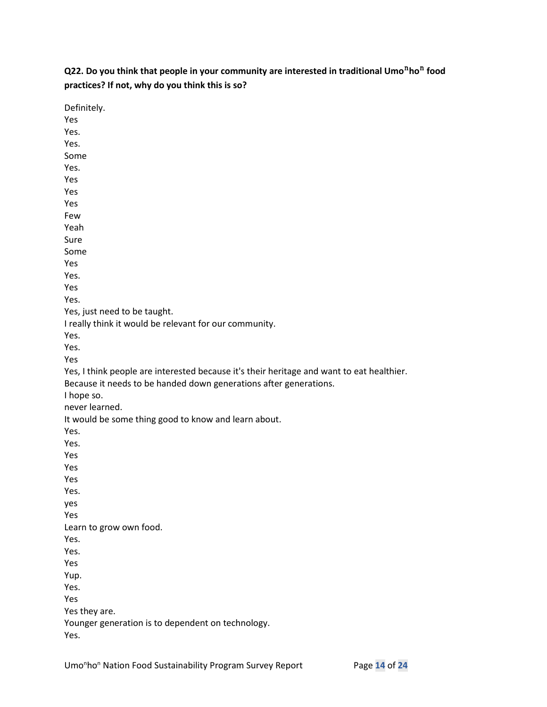**Q22. Do you think that people in your community are interested in traditional Umo<sup>n</sup>ho<sup>n</sup> food practices? If not, why do you think this is so?**

| Definitely.                                                                               |
|-------------------------------------------------------------------------------------------|
| Yes                                                                                       |
| Yes.                                                                                      |
| Yes.                                                                                      |
| Some                                                                                      |
| Yes.                                                                                      |
| Yes                                                                                       |
| Yes                                                                                       |
| Yes                                                                                       |
| Few                                                                                       |
| Yeah                                                                                      |
| Sure                                                                                      |
| Some                                                                                      |
| Yes                                                                                       |
| Yes.                                                                                      |
| Yes                                                                                       |
| Yes.                                                                                      |
| Yes, just need to be taught.                                                              |
| I really think it would be relevant for our community.                                    |
| Yes.                                                                                      |
| Yes.                                                                                      |
| Yes                                                                                       |
| Yes, I think people are interested because it's their heritage and want to eat healthier. |
| Because it needs to be handed down generations after generations.                         |
| I hope so.                                                                                |
| never learned.                                                                            |
| It would be some thing good to know and learn about.                                      |
| Yes.                                                                                      |
| Yes.                                                                                      |
| Yes                                                                                       |
| Yes                                                                                       |
| Yes                                                                                       |
| Yes.                                                                                      |
| yes                                                                                       |
| Yes                                                                                       |
| Learn to grow own food.                                                                   |
| Yes.                                                                                      |
| Yes.                                                                                      |
| Yes                                                                                       |
| Yup.                                                                                      |
| Yes.                                                                                      |
| Yes                                                                                       |
| Yes they are.                                                                             |
|                                                                                           |
| Younger generation is to dependent on technology.                                         |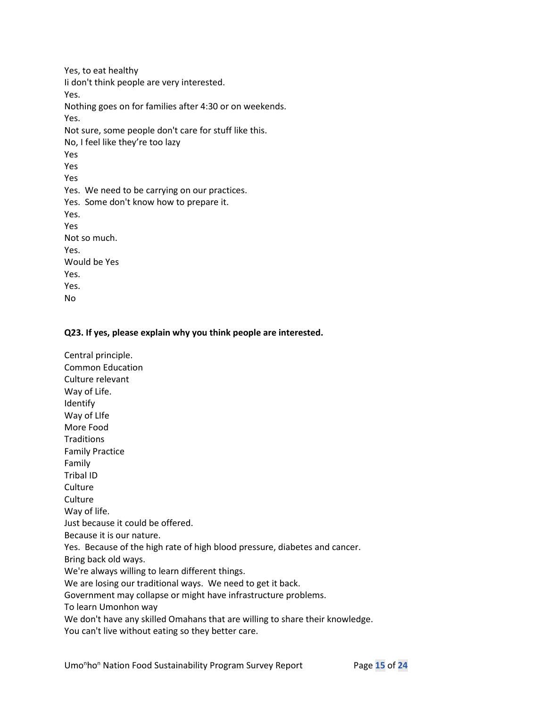Yes, to eat healthy Ii don't think people are very interested. Yes. Nothing goes on for families after 4:30 or on weekends. Yes. Not sure, some people don't care for stuff like this. No, I feel like they're too lazy Yes Yes Yes Yes. We need to be carrying on our practices. Yes. Some don't know how to prepare it. Yes. Yes Not so much. Yes. Would be Yes Yes. Yes. No

### **Q23. If yes, please explain why you think people are interested.**

Central principle. Common Education Culture relevant Way of Life. Identify Way of LIfe More Food **Traditions** Family Practice Family Tribal ID **Culture Culture** Way of life. Just because it could be offered. Because it is our nature. Yes. Because of the high rate of high blood pressure, diabetes and cancer. Bring back old ways. We're always willing to learn different things. We are losing our traditional ways. We need to get it back. Government may collapse or might have infrastructure problems. To learn Umonhon way We don't have any skilled Omahans that are willing to share their knowledge. You can't live without eating so they better care.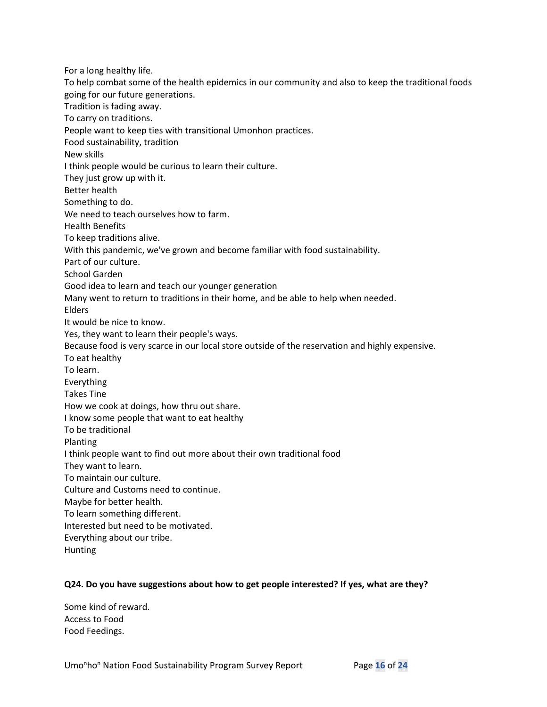For a long healthy life. To help combat some of the health epidemics in our community and also to keep the traditional foods going for our future generations. Tradition is fading away. To carry on traditions. People want to keep ties with transitional Umonhon practices. Food sustainability, tradition New skills I think people would be curious to learn their culture. They just grow up with it. Better health Something to do. We need to teach ourselves how to farm. Health Benefits To keep traditions alive. With this pandemic, we've grown and become familiar with food sustainability. Part of our culture. School Garden Good idea to learn and teach our younger generation Many went to return to traditions in their home, and be able to help when needed. Elders It would be nice to know. Yes, they want to learn their people's ways. Because food is very scarce in our local store outside of the reservation and highly expensive. To eat healthy To learn. Everything Takes Tine How we cook at doings, how thru out share. I know some people that want to eat healthy To be traditional Planting I think people want to find out more about their own traditional food They want to learn. To maintain our culture. Culture and Customs need to continue. Maybe for better health. To learn something different. Interested but need to be motivated. Everything about our tribe. Hunting

### **Q24. Do you have suggestions about how to get people interested? If yes, what are they?**

Some kind of reward. Access to Food Food Feedings.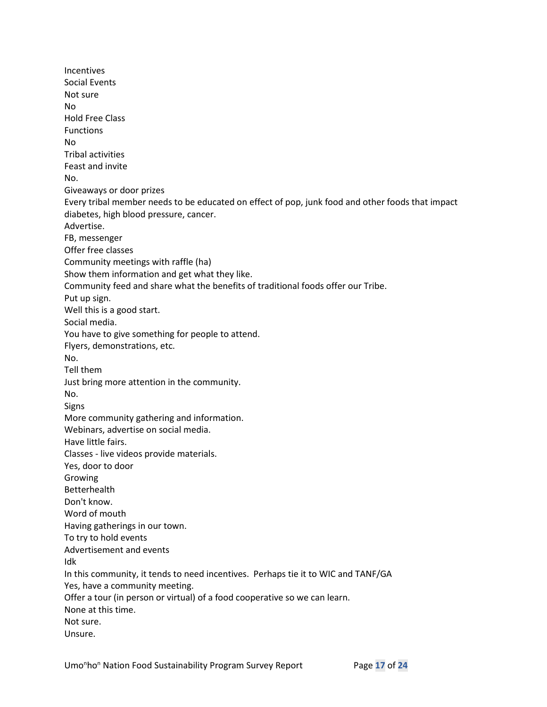Incentives Social Events Not sure No Hold Free Class **Functions** No Tribal activities Feast and invite No. Giveaways or door prizes Every tribal member needs to be educated on effect of pop, junk food and other foods that impact diabetes, high blood pressure, cancer. Advertise. FB, messenger Offer free classes Community meetings with raffle (ha) Show them information and get what they like. Community feed and share what the benefits of traditional foods offer our Tribe. Put up sign. Well this is a good start. Social media. You have to give something for people to attend. Flyers, demonstrations, etc. No. Tell them Just bring more attention in the community. No. Signs More community gathering and information. Webinars, advertise on social media. Have little fairs. Classes - live videos provide materials. Yes, door to door Growing Betterhealth Don't know. Word of mouth Having gatherings in our town. To try to hold events Advertisement and events Idk In this community, it tends to need incentives. Perhaps tie it to WIC and TANF/GA Yes, have a community meeting. Offer a tour (in person or virtual) of a food cooperative so we can learn. None at this time. Not sure. Unsure.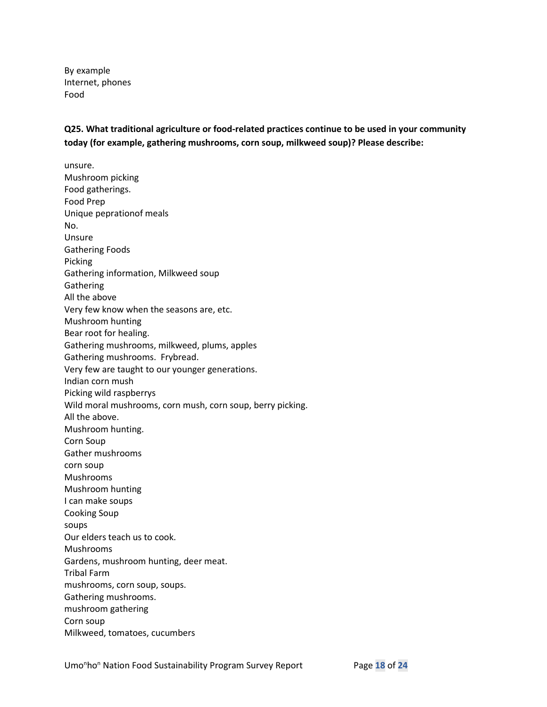By example Internet, phones Food

**Q25. What traditional agriculture or food-related practices continue to be used in your community today (for example, gathering mushrooms, corn soup, milkweed soup)? Please describe:**

unsure. Mushroom picking Food gatherings. Food Prep Unique peprationof meals No. Unsure Gathering Foods Picking Gathering information, Milkweed soup **Gathering** All the above Very few know when the seasons are, etc. Mushroom hunting Bear root for healing. Gathering mushrooms, milkweed, plums, apples Gathering mushrooms. Frybread. Very few are taught to our younger generations. Indian corn mush Picking wild raspberrys Wild moral mushrooms, corn mush, corn soup, berry picking. All the above. Mushroom hunting. Corn Soup Gather mushrooms corn soup Mushrooms Mushroom hunting I can make soups Cooking Soup soups Our elders teach us to cook. Mushrooms Gardens, mushroom hunting, deer meat. Tribal Farm mushrooms, corn soup, soups. Gathering mushrooms. mushroom gathering Corn soup Milkweed, tomatoes, cucumbers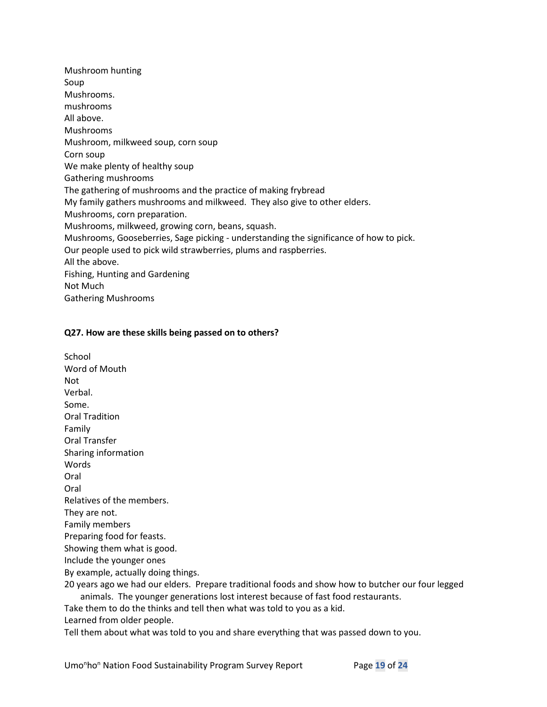Mushroom hunting Soup Mushrooms. mushrooms All above. Mushrooms Mushroom, milkweed soup, corn soup Corn soup We make plenty of healthy soup Gathering mushrooms The gathering of mushrooms and the practice of making frybread My family gathers mushrooms and milkweed. They also give to other elders. Mushrooms, corn preparation. Mushrooms, milkweed, growing corn, beans, squash. Mushrooms, Gooseberries, Sage picking - understanding the significance of how to pick. Our people used to pick wild strawberries, plums and raspberries. All the above. Fishing, Hunting and Gardening Not Much Gathering Mushrooms

### **Q27. How are these skills being passed on to others?**

School Word of Mouth Not Verbal. Some. Oral Tradition Family Oral Transfer Sharing information Words Oral Oral Relatives of the members. They are not. Family members Preparing food for feasts. Showing them what is good. Include the younger ones By example, actually doing things. 20 years ago we had our elders. Prepare traditional foods and show how to butcher our four legged animals. The younger generations lost interest because of fast food restaurants. Take them to do the thinks and tell then what was told to you as a kid. Learned from older people.

Tell them about what was told to you and share everything that was passed down to you.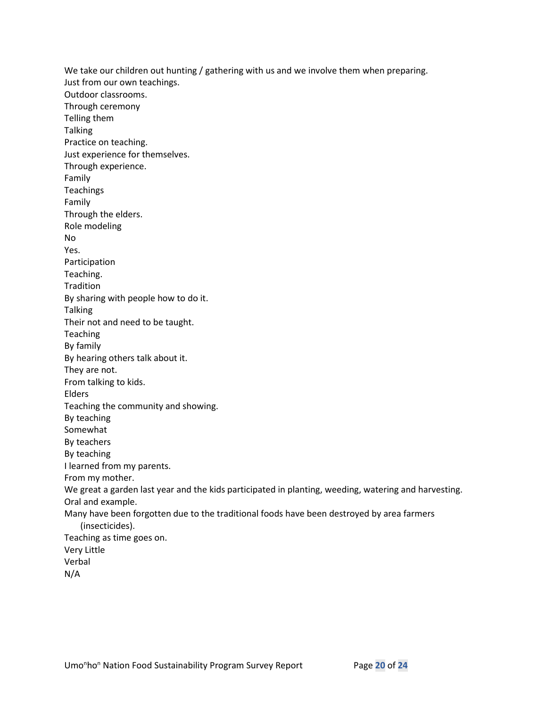We take our children out hunting / gathering with us and we involve them when preparing. Just from our own teachings. Outdoor classrooms. Through ceremony Telling them **Talking** Practice on teaching. Just experience for themselves. Through experience. Family **Teachings** Family Through the elders. Role modeling No Yes. Participation Teaching. **Tradition** By sharing with people how to do it. Talking Their not and need to be taught. Teaching By family By hearing others talk about it. They are not. From talking to kids. Elders Teaching the community and showing. By teaching Somewhat By teachers By teaching I learned from my parents. From my mother. We great a garden last year and the kids participated in planting, weeding, watering and harvesting. Oral and example. Many have been forgotten due to the traditional foods have been destroyed by area farmers (insecticides). Teaching as time goes on. Very Little Verbal N/A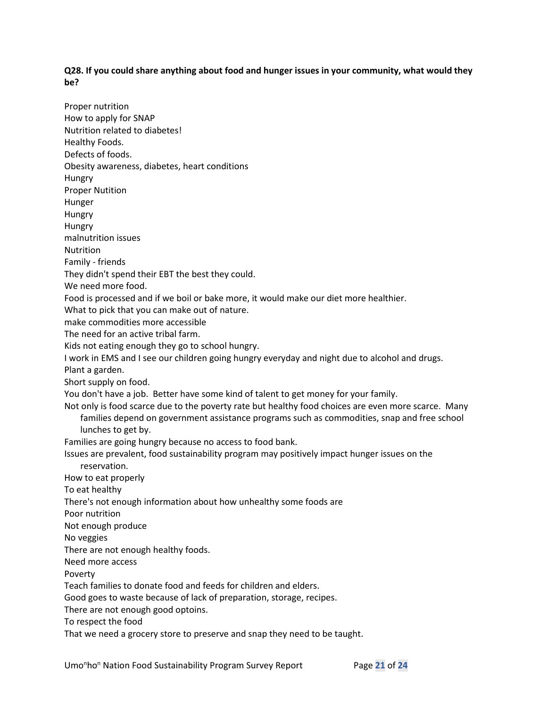### **Q28. If you could share anything about food and hunger issues in your community, what would they be?**

Proper nutrition How to apply for SNAP Nutrition related to diabetes! Healthy Foods. Defects of foods. Obesity awareness, diabetes, heart conditions Hungry Proper Nutition Hunger Hungry Hungry malnutrition issues **Nutrition** Family - friends They didn't spend their EBT the best they could. We need more food. Food is processed and if we boil or bake more, it would make our diet more healthier. What to pick that you can make out of nature. make commodities more accessible The need for an active tribal farm. Kids not eating enough they go to school hungry. I work in EMS and I see our children going hungry everyday and night due to alcohol and drugs. Plant a garden. Short supply on food. You don't have a job. Better have some kind of talent to get money for your family. Not only is food scarce due to the poverty rate but healthy food choices are even more scarce. Many families depend on government assistance programs such as commodities, snap and free school lunches to get by. Families are going hungry because no access to food bank. Issues are prevalent, food sustainability program may positively impact hunger issues on the reservation. How to eat properly To eat healthy There's not enough information about how unhealthy some foods are Poor nutrition Not enough produce No veggies There are not enough healthy foods. Need more access Poverty Teach families to donate food and feeds for children and elders. Good goes to waste because of lack of preparation, storage, recipes. There are not enough good optoins. To respect the food That we need a grocery store to preserve and snap they need to be taught.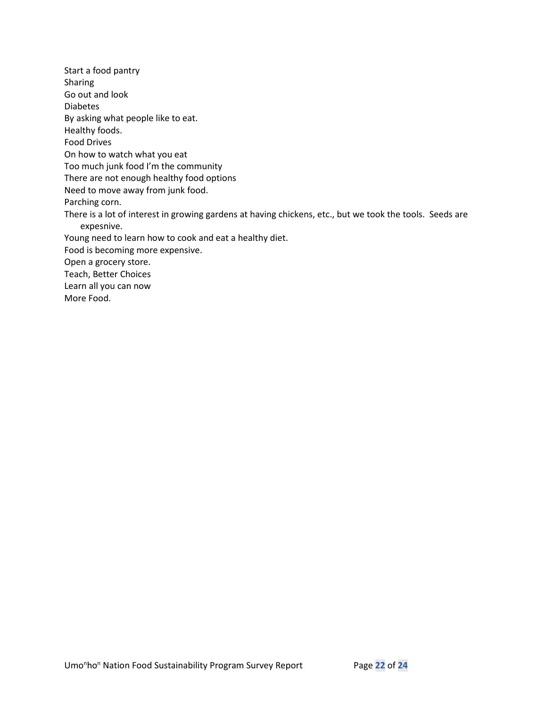Start a food pantry Sharing Go out and look Diabetes By asking what people like to eat. Healthy foods. Food Drives On how to watch what you eat Too much junk food I'm the community There are not enough healthy food options Need to move away from junk food. Parching corn. There is a lot of interest in growing gardens at having chickens, etc., but we took the tools. Seeds are expesnive. Young need to learn how to cook and eat a healthy diet. Food is becoming more expensive. Open a grocery store. Teach, Better Choices Learn all you can now More Food.